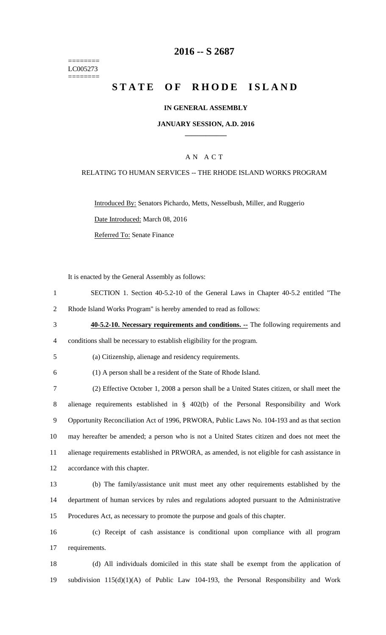======== LC005273 ========

# **-- S 2687**

# **STATE OF RHODE ISLAND**

### **IN GENERAL ASSEMBLY**

#### **JANUARY SESSION, A.D. 2016 \_\_\_\_\_\_\_\_\_\_\_\_**

### A N A C T

### RELATING TO HUMAN SERVICES -- THE RHODE ISLAND WORKS PROGRAM

Introduced By: Senators Pichardo, Metts, Nesselbush, Miller, and Ruggerio Date Introduced: March 08, 2016 Referred To: Senate Finance

It is enacted by the General Assembly as follows:

- SECTION 1. Section 40-5.2-10 of the General Laws in Chapter 40-5.2 entitled "The Rhode Island Works Program" is hereby amended to read as follows:
- **40-5.2-10. Necessary requirements and conditions. --** The following requirements and conditions shall be necessary to establish eligibility for the program.
- (a) Citizenship, alienage and residency requirements.
- (1) A person shall be a resident of the State of Rhode Island.

 (2) Effective October 1, 2008 a person shall be a United States citizen, or shall meet the alienage requirements established in § 402(b) of the Personal Responsibility and Work Opportunity Reconciliation Act of 1996, PRWORA, Public Laws No. 104-193 and as that section may hereafter be amended; a person who is not a United States citizen and does not meet the alienage requirements established in PRWORA, as amended, is not eligible for cash assistance in accordance with this chapter.

 (b) The family/assistance unit must meet any other requirements established by the department of human services by rules and regulations adopted pursuant to the Administrative Procedures Act, as necessary to promote the purpose and goals of this chapter.

 (c) Receipt of cash assistance is conditional upon compliance with all program requirements.

 (d) All individuals domiciled in this state shall be exempt from the application of subdivision 115(d)(1)(A) of Public Law 104-193, the Personal Responsibility and Work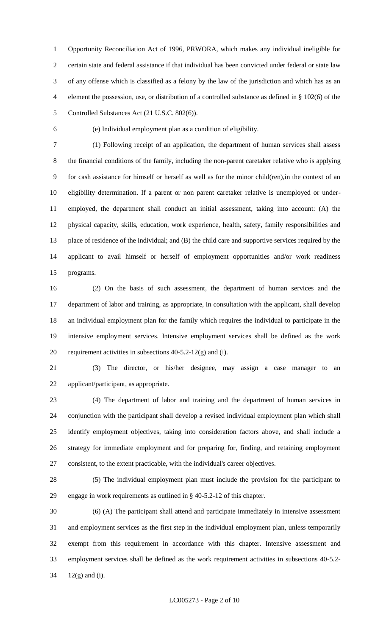Opportunity Reconciliation Act of 1996, PRWORA, which makes any individual ineligible for certain state and federal assistance if that individual has been convicted under federal or state law of any offense which is classified as a felony by the law of the jurisdiction and which has as an element the possession, use, or distribution of a controlled substance as defined in § 102(6) of the Controlled Substances Act (21 U.S.C. 802(6)).

(e) Individual employment plan as a condition of eligibility.

 (1) Following receipt of an application, the department of human services shall assess the financial conditions of the family, including the non-parent caretaker relative who is applying for cash assistance for himself or herself as well as for the minor child(ren),in the context of an eligibility determination. If a parent or non parent caretaker relative is unemployed or under- employed, the department shall conduct an initial assessment, taking into account: (A) the physical capacity, skills, education, work experience, health, safety, family responsibilities and place of residence of the individual; and (B) the child care and supportive services required by the applicant to avail himself or herself of employment opportunities and/or work readiness programs.

 (2) On the basis of such assessment, the department of human services and the department of labor and training, as appropriate, in consultation with the applicant, shall develop an individual employment plan for the family which requires the individual to participate in the intensive employment services. Intensive employment services shall be defined as the work 20 requirement activities in subsections  $40-5.2-12(g)$  and (i).

 (3) The director, or his/her designee, may assign a case manager to an applicant/participant, as appropriate.

 (4) The department of labor and training and the department of human services in conjunction with the participant shall develop a revised individual employment plan which shall identify employment objectives, taking into consideration factors above, and shall include a strategy for immediate employment and for preparing for, finding, and retaining employment consistent, to the extent practicable, with the individual's career objectives.

 (5) The individual employment plan must include the provision for the participant to engage in work requirements as outlined in § 40-5.2-12 of this chapter.

 (6) (A) The participant shall attend and participate immediately in intensive assessment and employment services as the first step in the individual employment plan, unless temporarily exempt from this requirement in accordance with this chapter. Intensive assessment and employment services shall be defined as the work requirement activities in subsections 40-5.2- 12(g) and (i).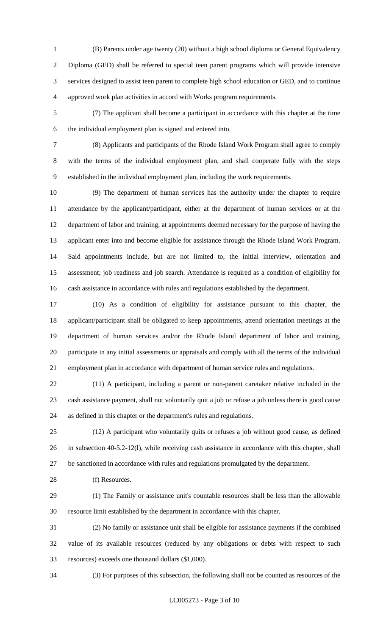- (B) Parents under age twenty (20) without a high school diploma or General Equivalency Diploma (GED) shall be referred to special teen parent programs which will provide intensive services designed to assist teen parent to complete high school education or GED, and to continue approved work plan activities in accord with Works program requirements.
- (7) The applicant shall become a participant in accordance with this chapter at the time the individual employment plan is signed and entered into.
- 

 (8) Applicants and participants of the Rhode Island Work Program shall agree to comply with the terms of the individual employment plan, and shall cooperate fully with the steps established in the individual employment plan, including the work requirements.

 (9) The department of human services has the authority under the chapter to require attendance by the applicant/participant, either at the department of human services or at the department of labor and training, at appointments deemed necessary for the purpose of having the applicant enter into and become eligible for assistance through the Rhode Island Work Program. Said appointments include, but are not limited to, the initial interview, orientation and assessment; job readiness and job search. Attendance is required as a condition of eligibility for cash assistance in accordance with rules and regulations established by the department.

 (10) As a condition of eligibility for assistance pursuant to this chapter, the applicant/participant shall be obligated to keep appointments, attend orientation meetings at the department of human services and/or the Rhode Island department of labor and training, participate in any initial assessments or appraisals and comply with all the terms of the individual employment plan in accordance with department of human service rules and regulations.

 (11) A participant, including a parent or non-parent caretaker relative included in the cash assistance payment, shall not voluntarily quit a job or refuse a job unless there is good cause as defined in this chapter or the department's rules and regulations.

 (12) A participant who voluntarily quits or refuses a job without good cause, as defined in subsection 40-5.2-12(l), while receiving cash assistance in accordance with this chapter, shall be sanctioned in accordance with rules and regulations promulgated by the department.

28 (f) Resources.

 (1) The Family or assistance unit's countable resources shall be less than the allowable resource limit established by the department in accordance with this chapter.

 (2) No family or assistance unit shall be eligible for assistance payments if the combined value of its available resources (reduced by any obligations or debts with respect to such resources) exceeds one thousand dollars (\$1,000).

(3) For purposes of this subsection, the following shall not be counted as resources of the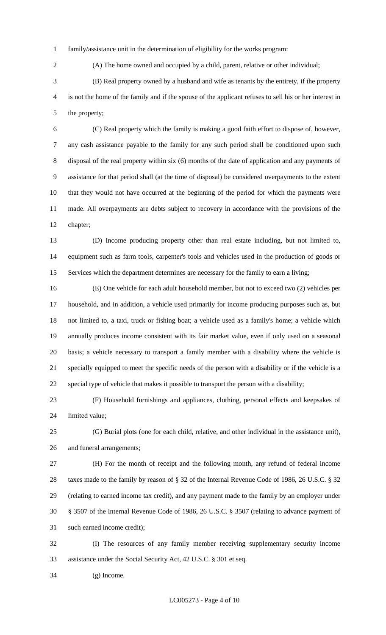family/assistance unit in the determination of eligibility for the works program:

(A) The home owned and occupied by a child, parent, relative or other individual;

 (B) Real property owned by a husband and wife as tenants by the entirety, if the property is not the home of the family and if the spouse of the applicant refuses to sell his or her interest in the property;

 (C) Real property which the family is making a good faith effort to dispose of, however, any cash assistance payable to the family for any such period shall be conditioned upon such disposal of the real property within six (6) months of the date of application and any payments of assistance for that period shall (at the time of disposal) be considered overpayments to the extent that they would not have occurred at the beginning of the period for which the payments were made. All overpayments are debts subject to recovery in accordance with the provisions of the chapter;

 (D) Income producing property other than real estate including, but not limited to, equipment such as farm tools, carpenter's tools and vehicles used in the production of goods or Services which the department determines are necessary for the family to earn a living;

 (E) One vehicle for each adult household member, but not to exceed two (2) vehicles per household, and in addition, a vehicle used primarily for income producing purposes such as, but not limited to, a taxi, truck or fishing boat; a vehicle used as a family's home; a vehicle which annually produces income consistent with its fair market value, even if only used on a seasonal basis; a vehicle necessary to transport a family member with a disability where the vehicle is specially equipped to meet the specific needs of the person with a disability or if the vehicle is a special type of vehicle that makes it possible to transport the person with a disability;

 (F) Household furnishings and appliances, clothing, personal effects and keepsakes of limited value;

 (G) Burial plots (one for each child, relative, and other individual in the assistance unit), and funeral arrangements;

 (H) For the month of receipt and the following month, any refund of federal income taxes made to the family by reason of § 32 of the Internal Revenue Code of 1986, 26 U.S.C. § 32 (relating to earned income tax credit), and any payment made to the family by an employer under § 3507 of the Internal Revenue Code of 1986, 26 U.S.C. § 3507 (relating to advance payment of such earned income credit);

 (I) The resources of any family member receiving supplementary security income assistance under the Social Security Act, 42 U.S.C. § 301 et seq.

(g) Income.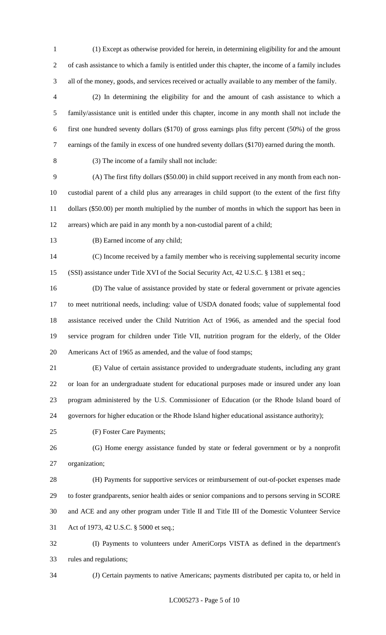(1) Except as otherwise provided for herein, in determining eligibility for and the amount of cash assistance to which a family is entitled under this chapter, the income of a family includes all of the money, goods, and services received or actually available to any member of the family.

 (2) In determining the eligibility for and the amount of cash assistance to which a family/assistance unit is entitled under this chapter, income in any month shall not include the first one hundred seventy dollars (\$170) of gross earnings plus fifty percent (50%) of the gross earnings of the family in excess of one hundred seventy dollars (\$170) earned during the month.

(3) The income of a family shall not include:

 (A) The first fifty dollars (\$50.00) in child support received in any month from each non- custodial parent of a child plus any arrearages in child support (to the extent of the first fifty dollars (\$50.00) per month multiplied by the number of months in which the support has been in arrears) which are paid in any month by a non-custodial parent of a child;

(B) Earned income of any child;

 (C) Income received by a family member who is receiving supplemental security income (SSI) assistance under Title XVI of the Social Security Act, 42 U.S.C. § 1381 et seq.;

 (D) The value of assistance provided by state or federal government or private agencies to meet nutritional needs, including: value of USDA donated foods; value of supplemental food assistance received under the Child Nutrition Act of 1966, as amended and the special food service program for children under Title VII, nutrition program for the elderly, of the Older Americans Act of 1965 as amended, and the value of food stamps;

 (E) Value of certain assistance provided to undergraduate students, including any grant or loan for an undergraduate student for educational purposes made or insured under any loan program administered by the U.S. Commissioner of Education (or the Rhode Island board of governors for higher education or the Rhode Island higher educational assistance authority);

(F) Foster Care Payments;

 (G) Home energy assistance funded by state or federal government or by a nonprofit organization;

 (H) Payments for supportive services or reimbursement of out-of-pocket expenses made to foster grandparents, senior health aides or senior companions and to persons serving in SCORE and ACE and any other program under Title II and Title III of the Domestic Volunteer Service Act of 1973, 42 U.S.C. § 5000 et seq.;

 (I) Payments to volunteers under AmeriCorps VISTA as defined in the department's rules and regulations;

(J) Certain payments to native Americans; payments distributed per capita to, or held in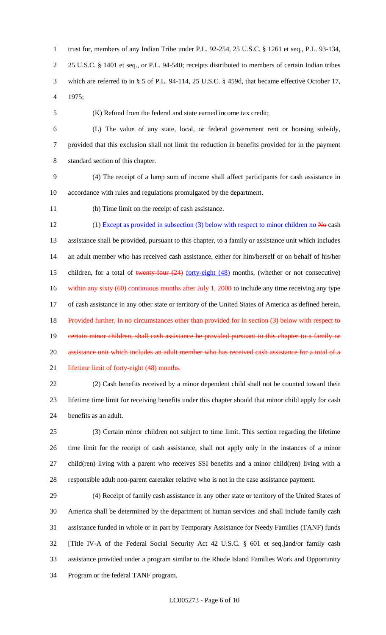trust for, members of any Indian Tribe under P.L. 92-254, 25 U.S.C. § 1261 et seq., P.L. 93-134, 25 U.S.C. § 1401 et seq., or P.L. 94-540; receipts distributed to members of certain Indian tribes which are referred to in § 5 of P.L. 94-114, 25 U.S.C. § 459d, that became effective October 17, 1975;

(K) Refund from the federal and state earned income tax credit;

 (L) The value of any state, local, or federal government rent or housing subsidy, provided that this exclusion shall not limit the reduction in benefits provided for in the payment standard section of this chapter.

 (4) The receipt of a lump sum of income shall affect participants for cash assistance in accordance with rules and regulations promulgated by the department.

(h) Time limit on the receipt of cash assistance.

12 (1) Except as provided in subsection (3) below with respect to minor children no No cash assistance shall be provided, pursuant to this chapter, to a family or assistance unit which includes an adult member who has received cash assistance, either for him/herself or on behalf of his/her 15 children, for a total of twenty-four  $(24)$  forty-eight  $(48)$  months, (whether or not consecutive) 16 within any sixty (60) continuous months after July 1, 2008 to include any time receiving any type of cash assistance in any other state or territory of the United States of America as defined herein. 18 Provided further, in no circumstances other than provided for in section (3) below with respect to 19 certain minor children, shall cash assistance be provided pursuant to this chapter to a family or 20 assistance unit which includes an adult member who has received cash assistance for a total of a 21 lifetime limit of forty-eight (48) months. (2) Cash benefits received by a minor dependent child shall not be counted toward their

 lifetime time limit for receiving benefits under this chapter should that minor child apply for cash benefits as an adult.

 (3) Certain minor children not subject to time limit. This section regarding the lifetime time limit for the receipt of cash assistance, shall not apply only in the instances of a minor child(ren) living with a parent who receives SSI benefits and a minor child(ren) living with a responsible adult non-parent caretaker relative who is not in the case assistance payment.

 (4) Receipt of family cash assistance in any other state or territory of the United States of America shall be determined by the department of human services and shall include family cash assistance funded in whole or in part by Temporary Assistance for Needy Families (TANF) funds [Title IV-A of the Federal Social Security Act 42 U.S.C. § 601 et seq.]and/or family cash assistance provided under a program similar to the Rhode Island Families Work and Opportunity Program or the federal TANF program.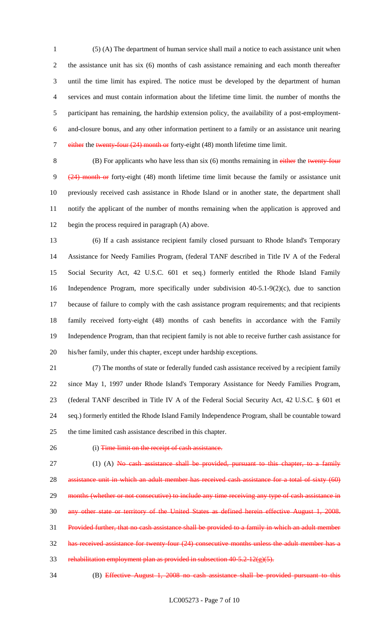(5) (A) The department of human service shall mail a notice to each assistance unit when the assistance unit has six (6) months of cash assistance remaining and each month thereafter until the time limit has expired. The notice must be developed by the department of human services and must contain information about the lifetime time limit. the number of months the participant has remaining, the hardship extension policy, the availability of a post-employment- and-closure bonus, and any other information pertinent to a family or an assistance unit nearing 7 either the twenty-four (24) month or forty-eight (48) month lifetime time limit.

8 (B) For applicants who have less than six (6) months remaining in either the twenty-four (24) month or forty-eight (48) month lifetime time limit because the family or assistance unit previously received cash assistance in Rhode Island or in another state, the department shall notify the applicant of the number of months remaining when the application is approved and begin the process required in paragraph (A) above.

 (6) If a cash assistance recipient family closed pursuant to Rhode Island's Temporary Assistance for Needy Families Program, (federal TANF described in Title IV A of the Federal Social Security Act, 42 U.S.C. 601 et seq.) formerly entitled the Rhode Island Family Independence Program, more specifically under subdivision 40-5.1-9(2)(c), due to sanction because of failure to comply with the cash assistance program requirements; and that recipients family received forty-eight (48) months of cash benefits in accordance with the Family Independence Program, than that recipient family is not able to receive further cash assistance for his/her family, under this chapter, except under hardship exceptions.

 (7) The months of state or federally funded cash assistance received by a recipient family since May 1, 1997 under Rhode Island's Temporary Assistance for Needy Families Program, (federal TANF described in Title IV A of the Federal Social Security Act, 42 U.S.C. § 601 et seq.) formerly entitled the Rhode Island Family Independence Program, shall be countable toward the time limited cash assistance described in this chapter.

#### 26 (i) Time limit on the receipt of cash assistance.

27  $(1)$  (A) No cash assistance shall be provided, pursuant to this chapter, to a family 28 assistance unit in which an adult member has received cash assistance for a total of sixty (60) 29 months (whether or not consecutive) to include any time receiving any type of cash assistance in any other state or territory of the United States as defined herein effective August 1, 2008. Provided further, that no cash assistance shall be provided to a family in which an adult member has received assistance for twenty-four (24) consecutive months unless the adult member has a 33 rehabilitation employment plan as provided in subsection  $40-5.2-12(g)(5)$ .

(B) Effective August 1, 2008 no cash assistance shall be provided pursuant to this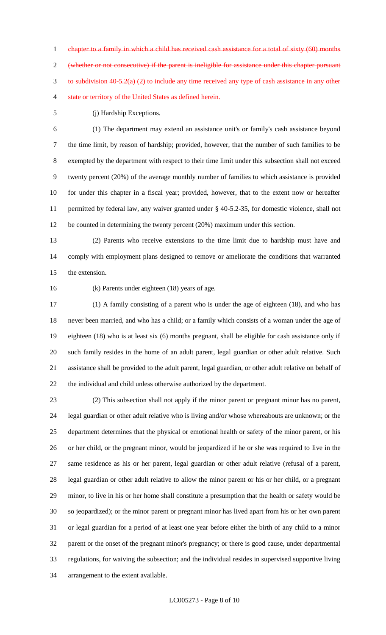chapter to a family in which a child has received cash assistance for a total of sixty (60) months (whether or not consecutive) if the parent is ineligible for assistance under this chapter pursuant to subdivision 40-5.2(a) (2) to include any time received any type of cash assistance in any other 4 state or territory of the United States as defined herein.

(j) Hardship Exceptions.

 (1) The department may extend an assistance unit's or family's cash assistance beyond the time limit, by reason of hardship; provided, however, that the number of such families to be exempted by the department with respect to their time limit under this subsection shall not exceed twenty percent (20%) of the average monthly number of families to which assistance is provided for under this chapter in a fiscal year; provided, however, that to the extent now or hereafter permitted by federal law, any waiver granted under § 40-5.2-35, for domestic violence, shall not be counted in determining the twenty percent (20%) maximum under this section.

 (2) Parents who receive extensions to the time limit due to hardship must have and comply with employment plans designed to remove or ameliorate the conditions that warranted the extension.

(k) Parents under eighteen (18) years of age.

 (1) A family consisting of a parent who is under the age of eighteen (18), and who has never been married, and who has a child; or a family which consists of a woman under the age of eighteen (18) who is at least six (6) months pregnant, shall be eligible for cash assistance only if such family resides in the home of an adult parent, legal guardian or other adult relative. Such assistance shall be provided to the adult parent, legal guardian, or other adult relative on behalf of the individual and child unless otherwise authorized by the department.

 (2) This subsection shall not apply if the minor parent or pregnant minor has no parent, legal guardian or other adult relative who is living and/or whose whereabouts are unknown; or the department determines that the physical or emotional health or safety of the minor parent, or his or her child, or the pregnant minor, would be jeopardized if he or she was required to live in the same residence as his or her parent, legal guardian or other adult relative (refusal of a parent, legal guardian or other adult relative to allow the minor parent or his or her child, or a pregnant minor, to live in his or her home shall constitute a presumption that the health or safety would be so jeopardized); or the minor parent or pregnant minor has lived apart from his or her own parent or legal guardian for a period of at least one year before either the birth of any child to a minor parent or the onset of the pregnant minor's pregnancy; or there is good cause, under departmental regulations, for waiving the subsection; and the individual resides in supervised supportive living arrangement to the extent available.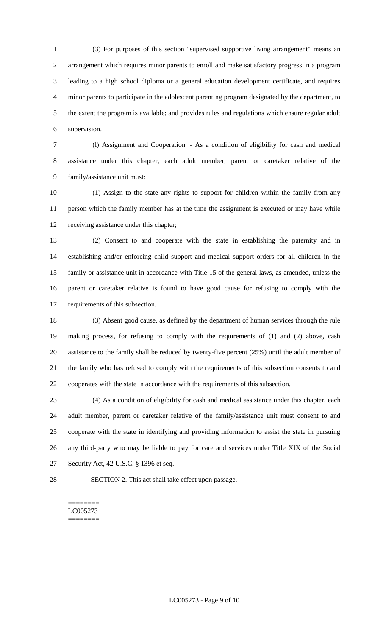(3) For purposes of this section "supervised supportive living arrangement" means an arrangement which requires minor parents to enroll and make satisfactory progress in a program leading to a high school diploma or a general education development certificate, and requires minor parents to participate in the adolescent parenting program designated by the department, to the extent the program is available; and provides rules and regulations which ensure regular adult supervision.

 (l) Assignment and Cooperation. - As a condition of eligibility for cash and medical assistance under this chapter, each adult member, parent or caretaker relative of the family/assistance unit must:

 (1) Assign to the state any rights to support for children within the family from any person which the family member has at the time the assignment is executed or may have while receiving assistance under this chapter;

 (2) Consent to and cooperate with the state in establishing the paternity and in establishing and/or enforcing child support and medical support orders for all children in the family or assistance unit in accordance with Title 15 of the general laws, as amended, unless the parent or caretaker relative is found to have good cause for refusing to comply with the requirements of this subsection.

 (3) Absent good cause, as defined by the department of human services through the rule making process, for refusing to comply with the requirements of (1) and (2) above, cash assistance to the family shall be reduced by twenty-five percent (25%) until the adult member of the family who has refused to comply with the requirements of this subsection consents to and cooperates with the state in accordance with the requirements of this subsection.

 (4) As a condition of eligibility for cash and medical assistance under this chapter, each adult member, parent or caretaker relative of the family/assistance unit must consent to and cooperate with the state in identifying and providing information to assist the state in pursuing any third-party who may be liable to pay for care and services under Title XIX of the Social Security Act, 42 U.S.C. § 1396 et seq.

SECTION 2. This act shall take effect upon passage.

======== LC005273 ========